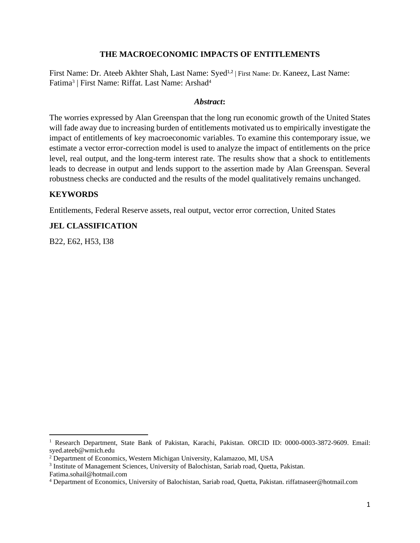# **THE MACROECONOMIC IMPACTS OF ENTITLEMENTS**

First Name: Dr. Ateeb Akhter Shah, Last Name: Syed<sup>1,2</sup> | First Name: Dr. Kaneez, Last Name: Fatima<sup>3</sup> | First Name: Riffat. Last Name: Arshad<sup>4</sup>

## *Abstract***:**

The worries expressed by Alan Greenspan that the long run economic growth of the United States will fade away due to increasing burden of entitlements motivated us to empirically investigate the impact of entitlements of key macroeconomic variables. To examine this contemporary issue, we estimate a vector error-correction model is used to analyze the impact of entitlements on the price level, real output, and the long-term interest rate. The results show that a shock to entitlements leads to decrease in output and lends support to the assertion made by Alan Greenspan. Several robustness checks are conducted and the results of the model qualitatively remains unchanged.

## **KEYWORDS**

Entitlements, Federal Reserve assets, real output, vector error correction, United States

# **JEL CLASSIFICATION**

B22, E62, H53, I38

<sup>&</sup>lt;sup>1</sup> Research Department, State Bank of Pakistan, Karachi, Pakistan, ORCID ID: 0000-0003-3872-9609. Email: syed.ateeb@wmich.edu

<sup>2</sup> Department of Economics, Western Michigan University, Kalamazoo, MI, USA

<sup>&</sup>lt;sup>3</sup> Institute of Management Sciences, University of Balochistan, Sariab road, Quetta, Pakistan.

Fatima.sohail@hotmail.com

<sup>4</sup> Department of Economics, University of Balochistan, Sariab road, Quetta, Pakistan. riffatnaseer@hotmail.com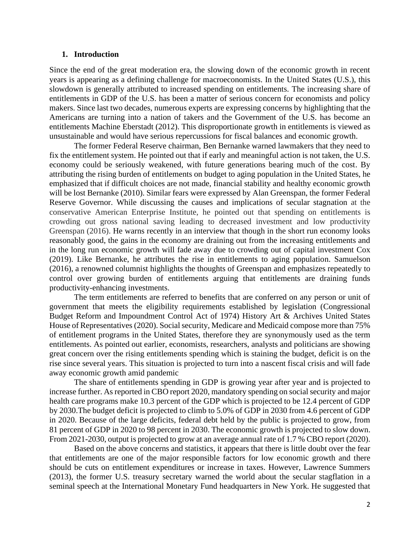#### **1. Introduction**

Since the end of the great moderation era, the slowing down of the economic growth in recent years is appearing as a defining challenge for macroeconomists. In the United States (U.S.), this slowdown is generally attributed to increased spending on entitlements. The increasing share of entitlements in GDP of the U.S. has been a matter of serious concern for economists and policy makers. Since last two decades, numerous experts are expressing concerns by highlighting that the Americans are turning into a nation of takers and the Government of the U.S. has become an entitlements Machine Eberstadt (2012). This disproportionate growth in entitlements is viewed as unsustainable and would have serious repercussions for fiscal balances and economic growth.

The former Federal Reserve chairman, Ben Bernanke warned lawmakers that they need to fix the entitlement system. He pointed out that if early and meaningful action is not taken, the U.S. economy could be seriously weakened, with future generations bearing much of the cost. By attributing the rising burden of entitlements on budget to aging population in the United States, he emphasized that if difficult choices are not made, financial stability and healthy economic growth will be lost Bernanke (2010). Similar fears were expressed by Alan Greenspan, the former Federal Reserve Governor. While discussing the causes and implications of secular stagnation at the conservative American Enterprise Institute, he pointed out that spending on entitlements is crowding out gross national saving leading to decreased investment and low productivity Greenspan (2016). He warns recently in an interview that though in the short run economy looks reasonably good, the gains in the economy are draining out from the increasing entitlements and in the long run economic growth will fade away due to crowding out of capital investment Cox (2019). Like Bernanke, he attributes the rise in entitlements to aging population. Samuelson (2016), a renowned columnist highlights the thoughts of Greenspan and emphasizes repeatedly to control over growing burden of entitlements arguing that entitlements are draining funds productivity-enhancing investments.

The term entitlements are referred to benefits that are conferred on any person or unit of government that meets the eligibility requirements established by legislation (Congressional Budget Reform and Impoundment Control Act of 1974) History Art & Archives United States House of Representatives (2020). Social security, Medicare and Medicaid compose more than 75% of entitlement programs in the United States, therefore they are synonymously used as the term entitlements. As pointed out earlier, economists, researchers, analysts and politicians are showing great concern over the rising entitlements spending which is staining the budget, deficit is on the rise since several years. This situation is projected to turn into a nascent fiscal crisis and will fade away economic growth amid pandemic

The share of entitlements spending in GDP is growing year after year and is projected to increase further. As reported in CBO report 2020, mandatory spending on social security and major health care programs make 10.3 percent of the GDP which is projected to be 12.4 percent of GDP by 2030.The budget deficit is projected to climb to 5.0% of GDP in 2030 from 4.6 percent of GDP in 2020. Because of the large deficits, federal debt held by the public is projected to grow, from 81 percent of GDP in 2020 to 98 percent in 2030. The economic growth is projected to slow down. From 2021-2030, output is projected to grow at an average annual rate of 1.7 % CBO report (2020).

Based on the above concerns and statistics, it appears that there is little doubt over the fear that entitlements are one of the major responsible factors for low economic growth and there should be cuts on entitlement expenditures or increase in taxes. However, Lawrence Summers (2013), the former U.S. treasury secretary warned the world about the secular stagflation in a seminal [speech](https://www.youtube.com/watch?v=KYpVzBbQIX0) at the International Monetary Fund headquarters in New York. He suggested that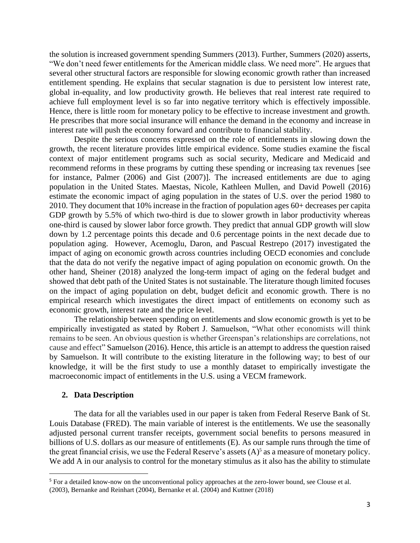the solution is increased government spending Summers (2013). Further, Summers (2020) asserts, "We don't need fewer entitlements for the American middle class. We need more". He argues that several other structural factors are responsible for slowing economic growth rather than increased entitlement spending. He explains that secular stagnation is due to persistent low interest rate, global in-equality, and low productivity growth. He believes that real interest rate required to achieve full employment level is so far into negative territory which is effectively impossible. Hence, there is little room for monetary policy to be effective to increase investment and growth. He prescribes that more social insurance will enhance the demand in the economy and increase in interest rate will push the economy forward and contribute to financial stability.

Despite the serious concerns expressed on the role of entitlements in slowing down the growth, the recent literature provides little empirical evidence. Some studies examine the fiscal context of major entitlement programs such as social security, Medicare and Medicaid and recommend reforms in these programs by cutting these spending or increasing tax revenues [see for instance, Palmer (2006) and Gist (2007)]. The increased entitlements are due to aging population in the United States. Maestas, Nicole, Kathleen Mullen, and David Powell (2016) estimate the economic impact of aging population in the states of U.S. over the period 1980 to 2010. They document that 10% increase in the fraction of population ages 60+ decreases per capita GDP growth by 5.5% of which two-third is due to slower growth in labor productivity whereas one-third is caused by slower labor force growth. They predict that annual GDP growth will slow down by 1.2 percentage points this decade and 0.6 percentage points in the next decade due to population aging. However, Acemoglu, Daron, and Pascual Restrepo (2017) investigated the impact of aging on economic growth across countries including OECD economies and conclude that the data do not verify the negative impact of aging population on economic growth. On the other hand, Sheiner (2018) analyzed the long-term impact of aging on the federal budget and showed that debt path of the United States is not sustainable. The literature though limited focuses on the impact of aging population on debt, budget deficit and economic growth. There is no empirical research which investigates the direct impact of entitlements on economy such as economic growth, interest rate and the price level.

The relationship between spending on entitlements and slow economic growth is yet to be empirically investigated as stated by Robert J. Samuelson, "What other economists will think remains to be seen. An obvious question is whether Greenspan's relationships are correlations, not cause and effect" Samuelson (2016). Hence, this article is an attempt to address the question raised by Samuelson. It will contribute to the existing literature in the following way; to best of our knowledge, it will be the first study to use a monthly dataset to empirically investigate the macroeconomic impact of entitlements in the U.S. using a VECM framework.

#### **2. Data Description**

The data for all the variables used in our paper is taken from Federal Reserve Bank of St. Louis Database (FRED). The main variable of interest is the entitlements. We use the seasonally adjusted personal current transfer receipts, government social benefits to persons measured in billions of U.S. dollars as our measure of entitlements (E). As our sample runs through the time of the great financial crisis, we use the Federal Reserve's assets  $(A)^5$  as a measure of monetary policy. We add A in our analysis to control for the monetary stimulus as it also has the ability to stimulate

<sup>5</sup> For a detailed know-now on the unconventional policy approaches at the zero-lower bound, see Clouse et al. (2003), Bernanke and Reinhart (2004), Bernanke et al. (2004) and Kuttner (2018)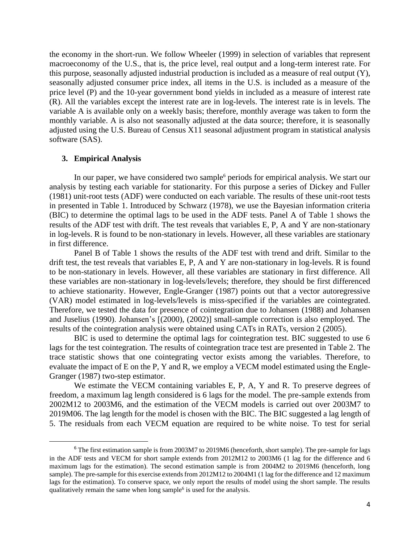the economy in the short-run. We follow Wheeler (1999) in selection of variables that represent macroeconomy of the U.S., that is, the price level, real output and a long-term interest rate. For this purpose, seasonally adjusted industrial production is included as a measure of real output (Y), seasonally adjusted consumer price index, all items in the U.S. is included as a measure of the price level (P) and the 10-year government bond yields in included as a measure of interest rate (R). All the variables except the interest rate are in log-levels. The interest rate is in levels. The variable A is available only on a weekly basis; therefore, monthly average was taken to form the monthly variable. A is also not seasonally adjusted at the data source; therefore, it is seasonally adjusted using the U.S. Bureau of Census X11 seasonal adjustment program in statistical analysis software (SAS).

## **3. Empirical Analysis**

In our paper, we have considered two sample<sup>6</sup> periods for empirical analysis. We start our analysis by testing each variable for stationarity. For this purpose a series of Dickey and Fuller (1981) unit-root tests (ADF) were conducted on each variable. The results of these unit-root tests in presented in Table 1. Introduced by Schwarz (1978), we use the Bayesian information criteria (BIC) to determine the optimal lags to be used in the ADF tests. Panel A of Table 1 shows the results of the ADF test with drift. The test reveals that variables E, P, A and Y are non-stationary in log-levels. R is found to be non-stationary in levels. However, all these variables are stationary in first difference.

Panel B of Table 1 shows the results of the ADF test with trend and drift. Similar to the drift test, the test reveals that variables E, P, A and Y are non-stationary in log-levels. R is found to be non-stationary in levels. However, all these variables are stationary in first difference. All these variables are non-stationary in log-levels/levels; therefore, they should be first differenced to achieve stationarity. However, Engle-Granger (1987) points out that a vector autoregressive (VAR) model estimated in log-levels/levels is miss-specified if the variables are cointegrated. Therefore, we tested the data for presence of cointegration due to Johansen (1988) and Johansen and Juselius (1990). Johansen's [(2000), (2002)] small-sample correction is also employed. The results of the cointegration analysis were obtained using CATs in RATs, version 2 (2005).

BIC is used to determine the optimal lags for cointegration test. BIC suggested to use 6 lags for the test cointegration. The results of cointegration trace test are presented in Table 2. The trace statistic shows that one cointegrating vector exists among the variables. Therefore, to evaluate the impact of E on the P, Y and R, we employ a VECM model estimated using the Engle-Granger (1987) two-step estimator.

We estimate the VECM containing variables E, P, A, Y and R. To preserve degrees of freedom, a maximum lag length considered is 6 lags for the model. The pre-sample extends from 2002M12 to 2003M6, and the estimation of the VECM models is carried out over 2003M7 to 2019M06. The lag length for the model is chosen with the BIC. The BIC suggested a lag length of 5. The residuals from each VECM equation are required to be white noise. To test for serial

 $6$  The first estimation sample is from 2003M7 to 2019M6 (henceforth, short sample). The pre-sample for lags in the ADF tests and VECM for short sample extends from 2012M12 to 2003M6 (1 lag for the difference and 6 maximum lags for the estimation). The second estimation sample is from 2004M2 to 2019M6 (henceforth, long sample). The pre-sample for this exercise extends from 2012M12 to 2004M1 (1 lag for the difference and 12 maximum lags for the estimation). To conserve space, we only report the results of model using the short sample. The results qualitatively remain the same when long sample<sup>6</sup> is used for the analysis.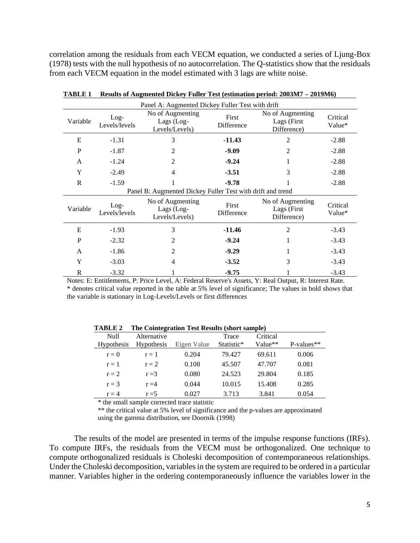correlation among the residuals from each VECM equation, we conducted a series of Ljung-Box (1978) tests with the null hypothesis of no autocorrelation. The Q-statistics show that the residuals from each VECM equation in the model estimated with 3 lags are white noise.

| Panel A: Augmented Dickey Fuller Test with drift           |                         |                                                  |                     |                                                 |                    |  |  |  |  |
|------------------------------------------------------------|-------------------------|--------------------------------------------------|---------------------|-------------------------------------------------|--------------------|--|--|--|--|
| Variable                                                   | $Log-$<br>Levels/levels | No of Augmenting<br>Lags (Log-<br>Levels/Levels) | First<br>Difference | No of Augmenting<br>Lags (First<br>Difference)  | Critical<br>Value* |  |  |  |  |
| E                                                          | $-1.31$                 | 3                                                | $-11.43$            | 2                                               | $-2.88$            |  |  |  |  |
| P                                                          | $-1.87$                 | $\overline{2}$                                   | $-9.09$             | 2                                               | $-2.88$            |  |  |  |  |
| A                                                          | $-1.24$                 | $\overline{2}$                                   | $-9.24$             | 1                                               | $-2.88$            |  |  |  |  |
| Y                                                          | $-2.49$                 | 4                                                | $-3.51$             | 3                                               | $-2.88$            |  |  |  |  |
| R                                                          | $-1.59$                 |                                                  | $-9.78$             |                                                 | $-2.88$            |  |  |  |  |
| Panel B: Augmented Dickey Fuller Test with drift and trend |                         |                                                  |                     |                                                 |                    |  |  |  |  |
| Variable                                                   | $Log-$<br>Levels/levels | No of Augmenting<br>Lags (Log-<br>Levels/Levels) | First<br>Difference | No of Augmenting<br>Lags (First)<br>Difference) | Critical<br>Value* |  |  |  |  |
| E                                                          | $-1.93$                 | 3                                                | -11.46              | 2                                               | $-3.43$            |  |  |  |  |
| $\mathbf P$                                                | $-2.32$                 | $\overline{2}$                                   | $-9.24$             |                                                 | $-3.43$            |  |  |  |  |
| A                                                          | $-1.86$                 | 2                                                | $-9.29$             |                                                 | $-3.43$            |  |  |  |  |
| Y                                                          | $-3.03$                 | 4                                                | $-3.52$             | 3                                               | $-3.43$            |  |  |  |  |
| R                                                          | $-3.32$                 |                                                  | $-9.75$             |                                                 | $-3.43$            |  |  |  |  |

**TABLE 1 Results of Augmented Dickey Fuller Test (estimation period: 2003M7 – 2019M6)**

Notes: E: Entitlements, P: Price Level, A: Federal Reserve's Assets, Y: Real Output, R: Interest Rate. \* denotes critical value reported in the table at 5% level of significance; The values in bold shows that the variable is stationary in Log-Levels/Levels or first differences

| ГАРГЕ 7           | The Connegration Test Results (short sample) |             |            |          |              |  |  |
|-------------------|----------------------------------------------|-------------|------------|----------|--------------|--|--|
| Null              | Alternative                                  |             | Trace      | Critical |              |  |  |
| <b>Hypothesis</b> | <b>Hypothesis</b>                            | Eigen Value | Statistic* | Value**  | $P-values**$ |  |  |
| $r = 0$           | $r=1$                                        | 0.204       | 79.427     | 69.611   | 0.006        |  |  |
| $r=1$             | $r = 2$                                      | 0.108       | 45.507     | 47.707   | 0.081        |  |  |
| $r = 2$           | $r = 3$                                      | 0.080       | 24.523     | 29.804   | 0.185        |  |  |
| $r = 3$           | $r = 4$                                      | 0.044       | 10.015     | 15.408   | 0.285        |  |  |
| $r = 4$           | $r = 5$                                      | 0.027       | 3.713      | 3.841    | 0.054        |  |  |

**TABLE 2 The Cointegration Test Results (short sample)**

\* the small sample corrected trace statistic

\*\* the critical value at 5% level of significance and the p-values are approximated using the gamma distribution, see Doornik (1998)

The results of the model are presented in terms of the impulse response functions (IRFs). To compute IRFs, the residuals from the VECM must be orthogonalized. One technique to compute orthogonalized residuals is Choleski decomposition of contemporaneous relationships. Under the Choleski decomposition, variables in the system are required to be ordered in a particular manner. Variables higher in the ordering contemporaneously influence the variables lower in the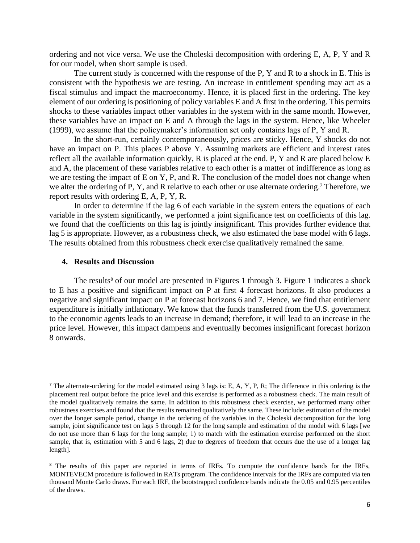ordering and not vice versa. We use the Choleski decomposition with ordering E, A, P, Y and R for our model, when short sample is used.

The current study is concerned with the response of the P, Y and R to a shock in E. This is consistent with the hypothesis we are testing. An increase in entitlement spending may act as a fiscal stimulus and impact the macroeconomy. Hence, it is placed first in the ordering. The key element of our ordering is positioning of policy variables E and A first in the ordering. This permits shocks to these variables impact other variables in the system with in the same month. However, these variables have an impact on E and A through the lags in the system. Hence, like Wheeler (1999), we assume that the policymaker's information set only contains lags of P, Y and R.

In the short-run, certainly contemporaneously, prices are sticky. Hence, Y shocks do not have an impact on P. This places P above Y. Assuming markets are efficient and interest rates reflect all the available information quickly, R is placed at the end. P, Y and R are placed below E and A, the placement of these variables relative to each other is a matter of indifference as long as we are testing the impact of E on Y, P, and R. The conclusion of the model does not change when we alter the ordering of P, Y, and R relative to each other or use alternate ordering.<sup>7</sup> Therefore, we report results with ordering E, A, P, Y, R.

In order to determine if the lag 6 of each variable in the system enters the equations of each variable in the system significantly, we performed a joint significance test on coefficients of this lag. we found that the coefficients on this lag is jointly insignificant. This provides further evidence that lag 5 is appropriate. However, as a robustness check, we also estimated the base model with 6 lags. The results obtained from this robustness check exercise qualitatively remained the same.

### **4. Results and Discussion**

The results<sup>8</sup> of our model are presented in Figures 1 through 3. Figure 1 indicates a shock to E has a positive and significant impact on P at first 4 forecast horizons. It also produces a negative and significant impact on P at forecast horizons 6 and 7. Hence, we find that entitlement expenditure is initially inflationary. We know that the funds transferred from the U.S. government to the economic agents leads to an increase in demand; therefore, it will lead to an increase in the price level. However, this impact dampens and eventually becomes insignificant forecast horizon 8 onwards.

<sup>&</sup>lt;sup>7</sup> The alternate-ordering for the model estimated using 3 lags is: E, A, Y, P, R; The difference in this ordering is the placement real output before the price level and this exercise is performed as a robustness check. The main result of the model qualitatively remains the same. In addition to this robustness check exercise, we performed many other robustness exercises and found that the results remained qualitatively the same. These include: estimation of the model over the longer sample period, change in the ordering of the variables in the Choleski decomposition for the long sample, joint significance test on lags 5 through 12 for the long sample and estimation of the model with 6 lags [we do not use more than 6 lags for the long sample; 1) to match with the estimation exercise performed on the short sample, that is, estimation with 5 and 6 lags, 2) due to degrees of freedom that occurs due the use of a longer lag length].

<sup>&</sup>lt;sup>8</sup> The results of this paper are reported in terms of IRFs. To compute the confidence bands for the IRFs, MONTEVECM procedure is followed in RATs program. The confidence intervals for the IRFs are computed via ten thousand Monte Carlo draws. For each IRF, the bootstrapped confidence bands indicate the 0.05 and 0.95 percentiles of the draws.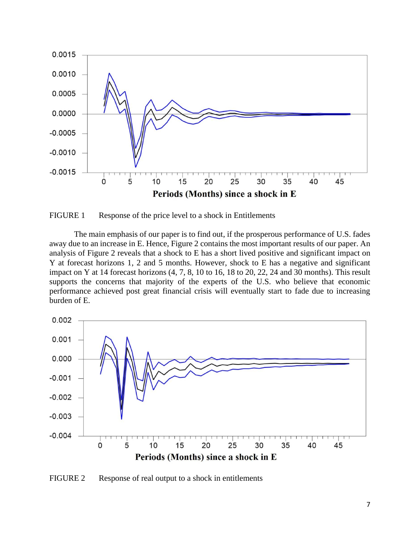

FIGURE 1 Response of the price level to a shock in Entitlements

The main emphasis of our paper is to find out, if the prosperous performance of U.S. fades away due to an increase in E. Hence, Figure 2 contains the most important results of our paper. An analysis of Figure 2 reveals that a shock to E has a short lived positive and significant impact on Y at forecast horizons 1, 2 and 5 months. However, shock to E has a negative and significant impact on Y at 14 forecast horizons (4, 7, 8, 10 to 16, 18 to 20, 22, 24 and 30 months). This result supports the concerns that majority of the experts of the U.S. who believe that economic performance achieved post great financial crisis will eventually start to fade due to increasing burden of E.



FIGURE 2 Response of real output to a shock in entitlements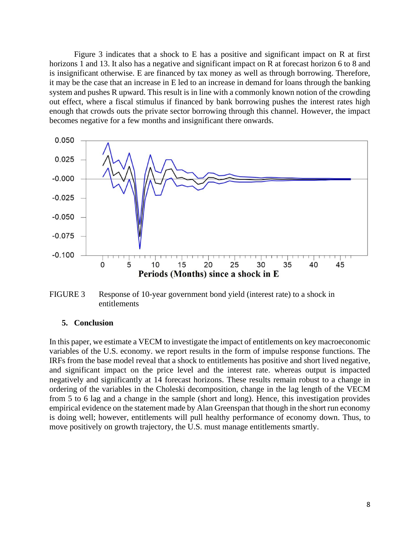Figure 3 indicates that a shock to E has a positive and significant impact on R at first horizons 1 and 13. It also has a negative and significant impact on R at forecast horizon 6 to 8 and is insignificant otherwise. E are financed by tax money as well as through borrowing. Therefore, it may be the case that an increase in E led to an increase in demand for loans through the banking system and pushes R upward. This result is in line with a commonly known notion of the crowding out effect, where a fiscal stimulus if financed by bank borrowing pushes the interest rates high enough that crowds outs the private sector borrowing through this channel. However, the impact becomes negative for a few months and insignificant there onwards.



FIGURE 3 Response of 10-year government bond yield (interest rate) to a shock in entitlements

## **5. Conclusion**

In this paper, we estimate a VECM to investigate the impact of entitlements on key macroeconomic variables of the U.S. economy. we report results in the form of impulse response functions. The IRFs from the base model reveal that a shock to entitlements has positive and short lived negative, and significant impact on the price level and the interest rate. whereas output is impacted negatively and significantly at 14 forecast horizons. These results remain robust to a change in ordering of the variables in the Choleski decomposition, change in the lag length of the VECM from 5 to 6 lag and a change in the sample (short and long). Hence, this investigation provides empirical evidence on the statement made by Alan Greenspan that though in the short run economy is doing well; however, entitlements will pull healthy performance of economy down. Thus, to move positively on growth trajectory, the U.S. must manage entitlements smartly.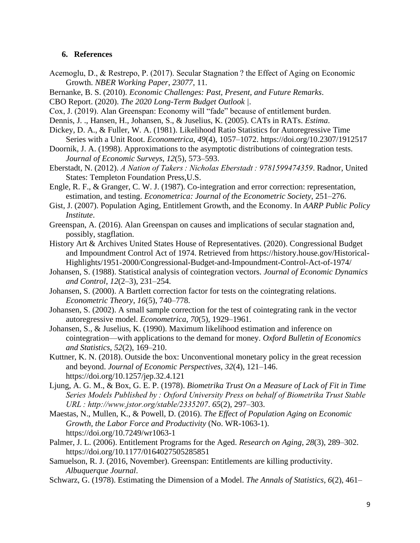## **6. References**

- Acemoglu, D., & Restrepo, P. (2017). Secular Stagnation ? the Effect of Aging on Economic Growth. *NBER Working Paper*, *23077*, 11.
- Bernanke, B. S. (2010). *Economic Challenges: Past, Present, and Future Remarks*.
- CBO Report. (2020). *The 2020 Long-Term Budget Outlook |*.
- Cox, J. (2019). Alan Greenspan: Economy will "fade" because of entitlement burden.
- Dennis, J. ., Hansen, H., Johansen, S., & Juselius, K. (2005). CATs in RATs. *Estima*.
- Dickey, D. A., & Fuller, W. A. (1981). Likelihood Ratio Statistics for Autoregressive Time Series with a Unit Root. *Econometrica*, *49*(4), 1057–1072. https://doi.org/10.2307/1912517
- Doornik, J. A. (1998). Approximations to the asymptotic distributions of cointegration tests. *Journal of Economic Surveys*, *12*(5), 573–593.
- Eberstadt, N. (2012). *A Nation of Takers : Nicholas Eberstadt : 9781599474359*. Radnor, United States: Templeton Foundation Press,U.S.
- Engle, R. F., & Granger, C. W. J. (1987). Co-integration and error correction: representation, estimation, and testing. *Econometrica: Journal of the Econometric Society*, 251–276.
- Gist, J. (2007). Population Aging, Entitlement Growth, and the Economy. In *AARP Public Policy Institute*.
- Greenspan, A. (2016). Alan Greenspan on causes and implications of secular stagnation and, possibly, stagflation.
- History Art & Archives United States House of Representatives. (2020). Congressional Budget and Impoundment Control Act of 1974. Retrieved from https://history.house.gov/Historical-Highlights/1951-2000/Congressional-Budget-and-Impoundment-Control-Act-of-1974/
- Johansen, S. (1988). Statistical analysis of cointegration vectors. *Journal of Economic Dynamics and Control*, *12*(2–3), 231–254.
- Johansen, S. (2000). A Bartlett correction factor for tests on the cointegrating relations. *Econometric Theory*, *16*(5), 740–778.
- Johansen, S. (2002). A small sample correction for the test of cointegrating rank in the vector autoregressive model. *Econometrica*, *70*(5), 1929–1961.
- Johansen, S., & Juselius, K. (1990). Maximum likelihood estimation and inference on cointegration—with applications to the demand for money. *Oxford Bulletin of Economics and Statistics*, *52*(2), 169–210.
- Kuttner, K. N. (2018). Outside the box: Unconventional monetary policy in the great recession and beyond. *Journal of Economic Perspectives*, *32*(4), 121–146. https://doi.org/10.1257/jep.32.4.121
- Ljung, A. G. M., & Box, G. E. P. (1978). *Biometrika Trust On a Measure of Lack of Fit in Time Series Models Published by : Oxford University Press on behalf of Biometrika Trust Stable URL : http://www.jstor.org/stable/2335207*. *65*(2), 297–303.
- Maestas, N., Mullen, K., & Powell, D. (2016). *The Effect of Population Aging on Economic Growth, the Labor Force and Productivity* (No. WR-1063-1). https://doi.org/10.7249/wr1063-1
- Palmer, J. L. (2006). Entitlement Programs for the Aged. *Research on Aging*, *28*(3), 289–302. https://doi.org/10.1177/0164027505285851
- Samuelson, R. J. (2016, November). Greenspan: Entitlements are killing productivity. *Albuquerque Journal*.
- Schwarz, G. (1978). Estimating the Dimension of a Model. *The Annals of Statistics*, *6*(2), 461–